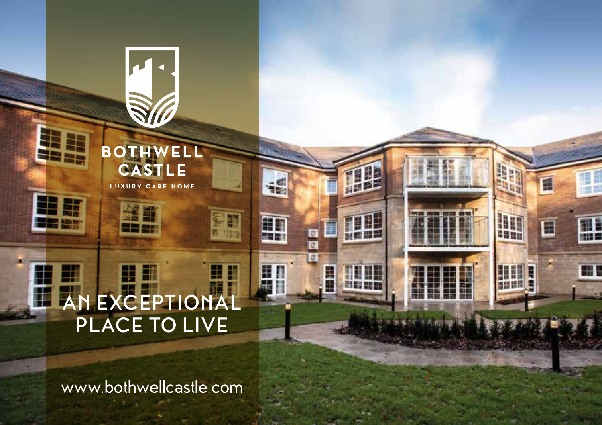#### H H 車 **AN EXCEPTIONAL PLACE TO LIVE**

**SI** 

**BOTHWELL CASTLE** 

LUXURY CARE HOME

経許<br>===

s ar

謂

an.

匪

**THE** 

m

W

E

E

**CONTROL** 

H

H 1

H

HH

16

H

H

**BBB** 

語

图面

193

www.bothwellcastle.com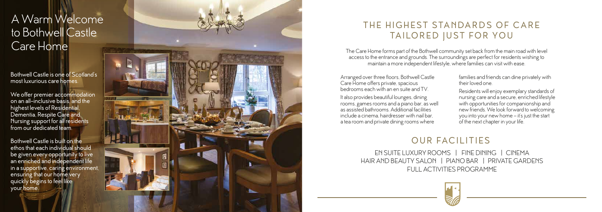EN SUITE LUXURY ROOMS | FINE DINING | CINEMA HAIR AND BEAUTY SALON | PIANO BAR | PRIVATE GARDENS FULL ACTIVITIES PROGRAMME



## OUR FACILITIES

Bothwell Castle is one of Scotland's most luxurious care homes.

We offer premier accommodation on an all-inclusive basis, and the highest levels of Residential, Dementia, Respite Care and Nursing support for all residents from our dedicated team.

Bothwell Castle is built on the ethos that each individual should be given every opportunity to live an enriched and independent life in a supportive, caring environment, ensuring that our home very quickly begins to feel like your home.



# THE HIGHEST STANDARDS OF CARE TAILORED JUST FOR YOU

# A Warm Welcome to Bothwell Castle Care Home

Arranged over three floors, Bothwell Castle Care Home offers private, spacious bedrooms each with an en suite and TV.

It also provides beautiful lounges, dining rooms, games rooms and a piano bar, as well as assisted bathrooms. Additional facilities include a cinema, hairdresser with nail bar, a tea room and private dining rooms where

- families and friends can dine privately with their loved one.
- Residents will enjoy exemplary standards of nursing care and a secure, enriched lifestyle with opportunities for companionship and new friends. We look forward to welcoming you into your new home – it's just the start of the next chapter in your life.



The Care Home forms part of the Bothwell community set back from the main road with level access to the entrance and grounds. The surroundings are perfect for residents wishing to maintain a more independent lifestyle, where families can visit with ease.